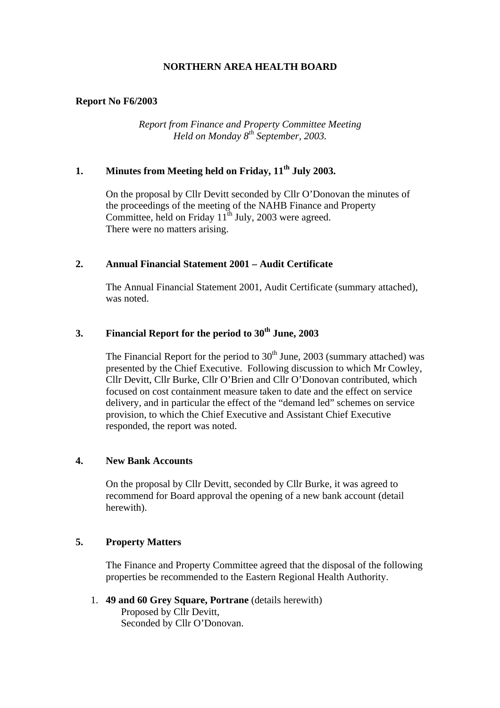#### **Report No F6/2003**

*Report from Finance and Property Committee Meeting Held on Monday 8th September, 2003.* 

# **1. Minutes from Meeting held on Friday, 11th July 2003.**

 On the proposal by Cllr Devitt seconded by Cllr O'Donovan the minutes of the proceedings of the meeting of the NAHB Finance and Property Committee, held on Friday  $11^{th}$  July, 2003 were agreed. There were no matters arising.

#### **2. Annual Financial Statement 2001 – Audit Certificate**

 The Annual Financial Statement 2001, Audit Certificate (summary attached), was noted.

## **3.** Financial Report for the period to 30<sup>th</sup> June, 2003

The Financial Report for the period to  $30<sup>th</sup>$  June, 2003 (summary attached) was presented by the Chief Executive. Following discussion to which Mr Cowley, Cllr Devitt, Cllr Burke, Cllr O'Brien and Cllr O'Donovan contributed, which focused on cost containment measure taken to date and the effect on service delivery, and in particular the effect of the "demand led" schemes on service provision, to which the Chief Executive and Assistant Chief Executive responded, the report was noted.

#### **4. New Bank Accounts**

 On the proposal by Cllr Devitt, seconded by Cllr Burke, it was agreed to recommend for Board approval the opening of a new bank account (detail herewith).

### **5. Property Matters**

 The Finance and Property Committee agreed that the disposal of the following properties be recommended to the Eastern Regional Health Authority.

1. **49 and 60 Grey Square, Portrane** (details herewith) Proposed by Cllr Devitt, Seconded by Cllr O'Donovan.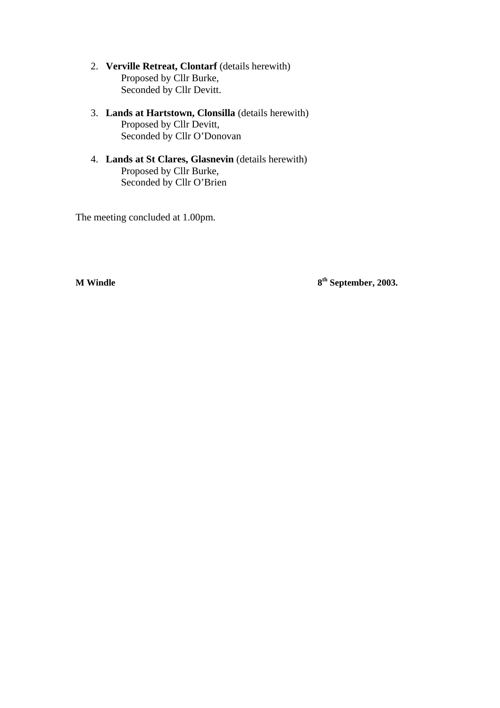- 2. **Verville Retreat, Clontarf** (details herewith) Proposed by Cllr Burke, Seconded by Cllr Devitt.
- 3. **Lands at Hartstown, Clonsilla** (details herewith) Proposed by Cllr Devitt, Seconded by Cllr O'Donovan
- 4. **Lands at St Clares, Glasnevin** (details herewith) Proposed by Cllr Burke, Seconded by Cllr O'Brien

The meeting concluded at 1.00pm.

**M Windle 8<sup>th</sup> September, 2003.**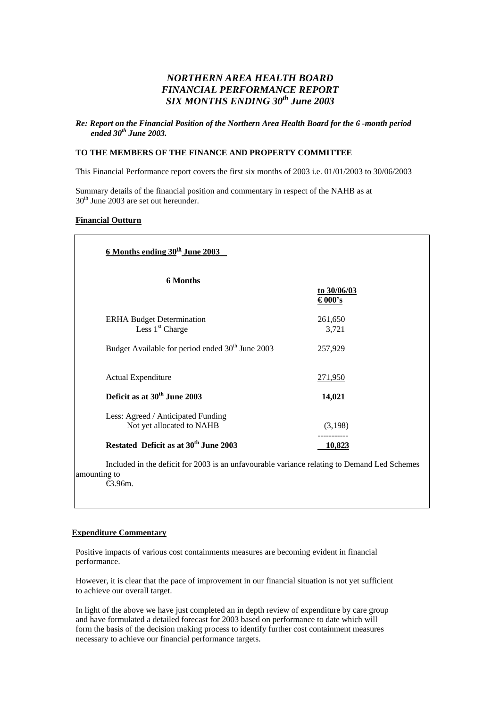### *NORTHERN AREA HEALTH BOARD FINANCIAL PERFORMANCE REPORT SIX MONTHS ENDING 30th June 2003*

#### *Re: Report on the Financial Position of the Northern Area Health Board for the 6 -month period ended 30th June 2003.*

#### **TO THE MEMBERS OF THE FINANCE AND PROPERTY COMMITTEE**

This Financial Performance report covers the first six months of 2003 i.e. 01/01/2003 to 30/06/2003

Summary details of the financial position and commentary in respect of the NAHB as at 30<sup>th</sup> June 2003 are set out hereunder.

#### **Financial Outturn**

| <b>6 Months</b>                                                 |                       |
|-----------------------------------------------------------------|-----------------------|
|                                                                 | to 30/06/03<br>€000's |
| <b>ERHA Budget Determination</b><br>Less 1 <sup>st</sup> Charge | 261,650<br>3,721      |
| Budget Available for period ended 30 <sup>th</sup> June 2003    | 257,929               |
| <b>Actual Expenditure</b>                                       | 271,950               |
| Deficit as at 30 <sup>th</sup> June 2003                        | 14,021                |
| Less: Agreed / Anticipated Funding<br>Not yet allocated to NAHB | (3,198)               |
| Restated Deficit as at 30 <sup>th</sup> June 2003               | 10,823                |

amounting to €3.96m.

#### **Expenditure Commentary**

Positive impacts of various cost containments measures are becoming evident in financial performance.

However, it is clear that the pace of improvement in our financial situation is not yet sufficient to achieve our overall target.

In light of the above we have just completed an in depth review of expenditure by care group and have formulated a detailed forecast for 2003 based on performance to date which will form the basis of the decision making process to identify further cost containment measures necessary to achieve our financial performance targets.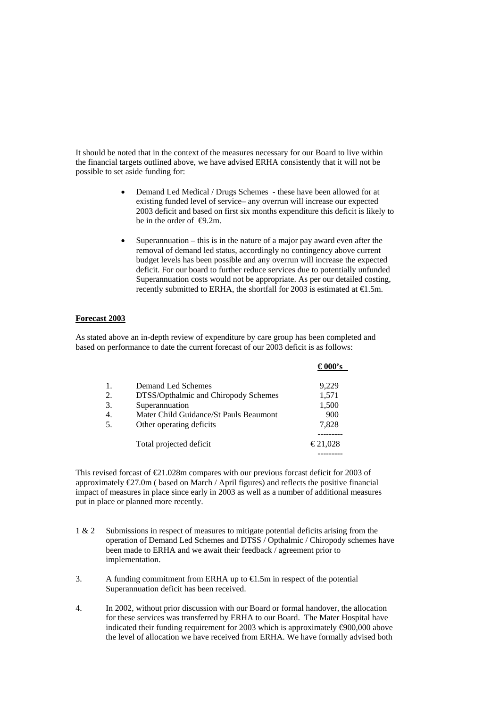It should be noted that in the context of the measures necessary for our Board to live within the financial targets outlined above, we have advised ERHA consistently that it will not be possible to set aside funding for:

- Demand Led Medical / Drugs Schemes these have been allowed for at existing funded level of service– any overrun will increase our expected 2003 deficit and based on first six months expenditure this deficit is likely to be in the order of  $\Theta$ .2m.
- Superannuation this is in the nature of a major pay award even after the removal of demand led status, accordingly no contingency above current budget levels has been possible and any overrun will increase the expected deficit. For our board to further reduce services due to potentially unfunded Superannuation costs would not be appropriate. As per our detailed costing, recently submitted to ERHA, the shortfall for 2003 is estimated at  $\in$ 1.5m.

#### **Forecast 2003**

As stated above an in-depth review of expenditure by care group has been completed and based on performance to date the current forecast of our 2003 deficit is as follows:

| 1. | Demand Led Schemes                     | 9,229   |
|----|----------------------------------------|---------|
| 2. | DTSS/Opthalmic and Chiropody Schemes   | 1,571   |
| 3. | Superannuation                         | 1,500   |
| 4. | Mater Child Guidance/St Pauls Beaumont | 900     |
| 5. | Other operating deficits               | 7,828   |
|    | Total projected deficit                | €21,028 |
|    |                                        |         |

This revised forcast of  $\epsilon 21.028$ m compares with our previous forcast deficit for 2003 of approximately €27.0m ( based on March / April figures) and reflects the positive financial impact of measures in place since early in 2003 as well as a number of additional measures put in place or planned more recently.

- 1 & 2 Submissions in respect of measures to mitigate potential deficits arising from the operation of Demand Led Schemes and DTSS / Opthalmic / Chiropody schemes have been made to ERHA and we await their feedback / agreement prior to implementation.
- 3. A funding commitment from ERHA up to  $\bigoplus$ . 5m in respect of the potential Superannuation deficit has been received.
- 4. In 2002, without prior discussion with our Board or formal handover, the allocation for these services was transferred by ERHA to our Board. The Mater Hospital have indicated their funding requirement for 2003 which is approximately  $\Theta$ 00,000 above the level of allocation we have received from ERHA. We have formally advised both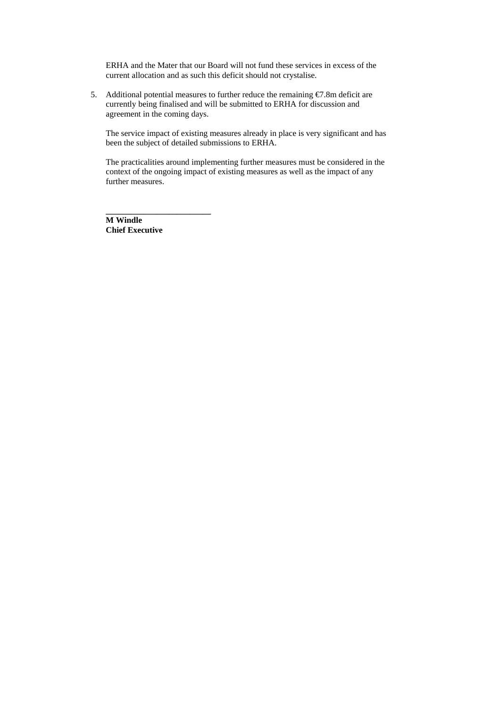ERHA and the Mater that our Board will not fund these services in excess of the current allocation and as such this deficit should not crystalise.

5. Additional potential measures to further reduce the remaining €7.8m deficit are currently being finalised and will be submitted to ERHA for discussion and agreement in the coming days.

The service impact of existing measures already in place is very significant and has been the subject of detailed submissions to ERHA.

The practicalities around implementing further measures must be considered in the context of the ongoing impact of existing measures as well as the impact of any further measures.

**M Windle Chief Executive** 

**\_\_\_\_\_\_\_\_\_\_\_\_\_\_\_\_\_\_\_\_\_\_\_\_\_**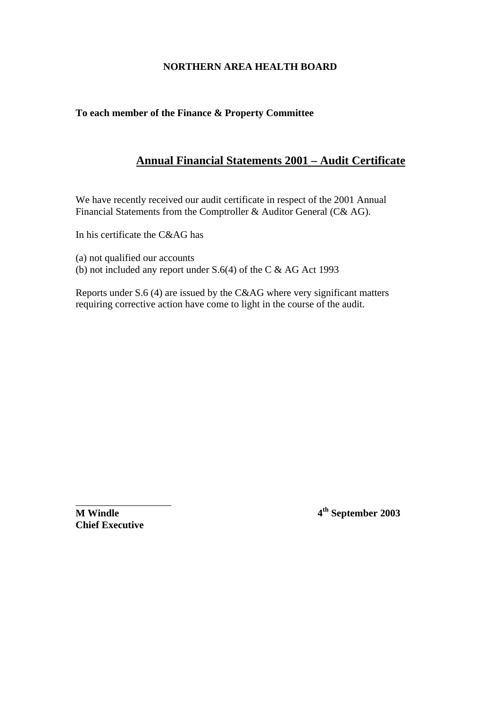## **To each member of the Finance & Property Committee**

# **Annual Financial Statements 2001 – Audit Certificate**

We have recently received our audit certificate in respect of the 2001 Annual Financial Statements from the Comptroller & Auditor General (C& AG).

In his certificate the C&AG has

(a) not qualified our accounts

(b) not included any report under S.6(4) of the C & AG Act 1993

Reports under S.6 (4) are issued by the C&AG where very significant matters requiring corrective action have come to light in the course of the audit.

**Chief Executive** 

\_\_\_\_\_\_\_\_\_\_\_\_\_\_\_\_\_\_\_

**M Windle 4<sup>th</sup> September 2003**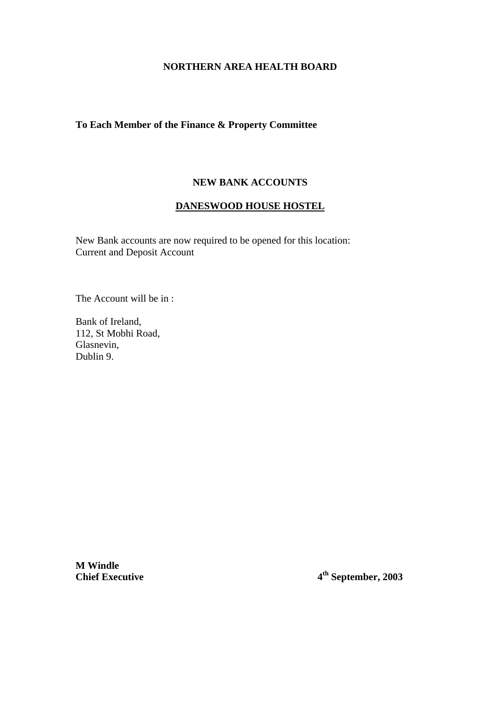### **To Each Member of the Finance & Property Committee**

### **NEW BANK ACCOUNTS**

### **DANESWOOD HOUSE HOSTEL**

New Bank accounts are now required to be opened for this location: Current and Deposit Account

The Account will be in :

Bank of Ireland, 112, St Mobhi Road, Glasnevin, Dublin 9.

**M Windle** 

**Chief Executive 4th September, 2003**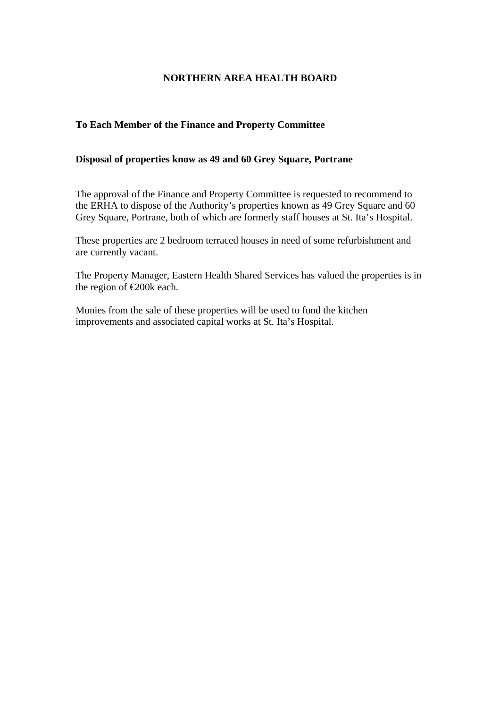## **To Each Member of the Finance and Property Committee**

### **Disposal of properties know as 49 and 60 Grey Square, Portrane**

The approval of the Finance and Property Committee is requested to recommend to the ERHA to dispose of the Authority's properties known as 49 Grey Square and 60 Grey Square, Portrane, both of which are formerly staff houses at St. Ita's Hospital.

These properties are 2 bedroom terraced houses in need of some refurbishment and are currently vacant.

The Property Manager, Eastern Health Shared Services has valued the properties is in the region of €200k each.

Monies from the sale of these properties will be used to fund the kitchen improvements and associated capital works at St. Ita's Hospital.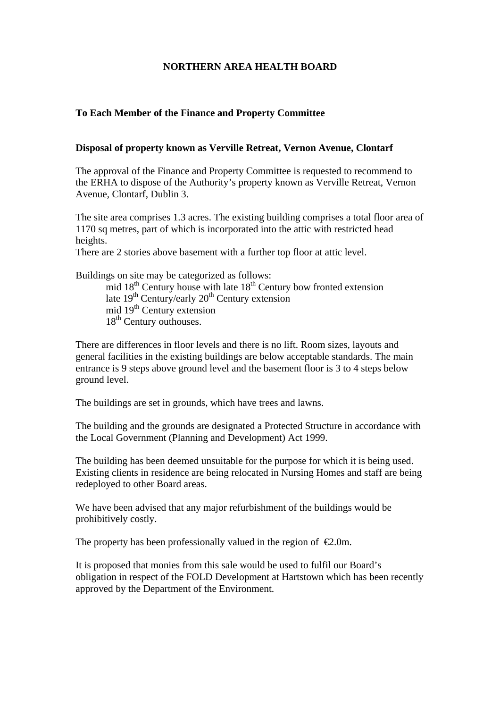### **To Each Member of the Finance and Property Committee**

#### **Disposal of property known as Verville Retreat, Vernon Avenue, Clontarf**

The approval of the Finance and Property Committee is requested to recommend to the ERHA to dispose of the Authority's property known as Verville Retreat, Vernon Avenue, Clontarf, Dublin 3.

The site area comprises 1.3 acres. The existing building comprises a total floor area of 1170 sq metres, part of which is incorporated into the attic with restricted head heights.

There are 2 stories above basement with a further top floor at attic level.

Buildings on site may be categorized as follows:

mid  $18<sup>th</sup>$  Century house with late  $18<sup>th</sup>$  Century bow fronted extension late  $19<sup>th</sup>$  Century/early  $20<sup>th</sup>$  Century extension mid  $19<sup>th</sup>$  Century extension  $18<sup>th</sup>$  Century outhouses.

There are differences in floor levels and there is no lift. Room sizes, layouts and general facilities in the existing buildings are below acceptable standards. The main entrance is 9 steps above ground level and the basement floor is 3 to 4 steps below ground level.

The buildings are set in grounds, which have trees and lawns.

The building and the grounds are designated a Protected Structure in accordance with the Local Government (Planning and Development) Act 1999.

The building has been deemed unsuitable for the purpose for which it is being used. Existing clients in residence are being relocated in Nursing Homes and staff are being redeployed to other Board areas.

We have been advised that any major refurbishment of the buildings would be prohibitively costly.

The property has been professionally valued in the region of  $\epsilon 2.0$ m.

It is proposed that monies from this sale would be used to fulfil our Board's obligation in respect of the FOLD Development at Hartstown which has been recently approved by the Department of the Environment.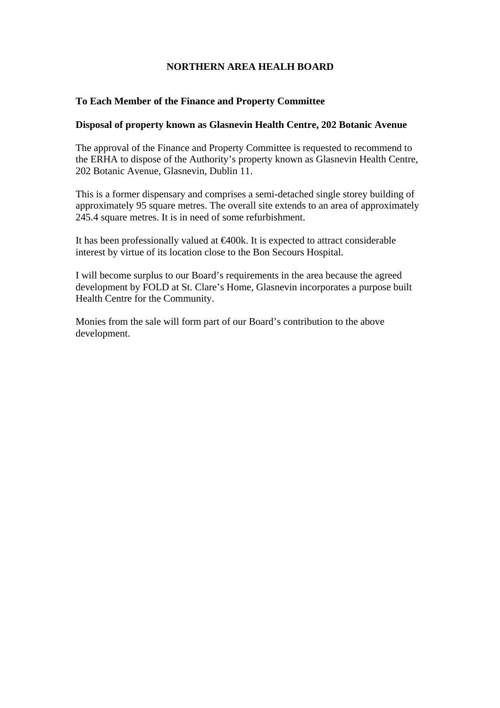### **To Each Member of the Finance and Property Committee**

### **Disposal of property known as Glasnevin Health Centre, 202 Botanic Avenue**

The approval of the Finance and Property Committee is requested to recommend to the ERHA to dispose of the Authority's property known as Glasnevin Health Centre, 202 Botanic Avenue, Glasnevin, Dublin 11.

This is a former dispensary and comprises a semi-detached single storey building of approximately 95 square metres. The overall site extends to an area of approximately 245.4 square metres. It is in need of some refurbishment.

It has been professionally valued at €400k. It is expected to attract considerable interest by virtue of its location close to the Bon Secours Hospital.

I will become surplus to our Board's requirements in the area because the agreed development by FOLD at St. Clare's Home, Glasnevin incorporates a purpose built Health Centre for the Community.

Monies from the sale will form part of our Board's contribution to the above development.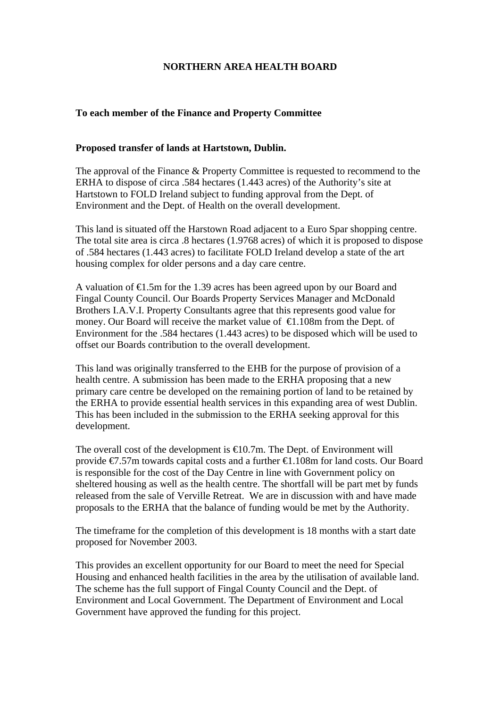### **To each member of the Finance and Property Committee**

#### **Proposed transfer of lands at Hartstown, Dublin.**

The approval of the Finance & Property Committee is requested to recommend to the ERHA to dispose of circa .584 hectares (1.443 acres) of the Authority's site at Hartstown to FOLD Ireland subject to funding approval from the Dept. of Environment and the Dept. of Health on the overall development.

This land is situated off the Harstown Road adjacent to a Euro Spar shopping centre. The total site area is circa .8 hectares (1.9768 acres) of which it is proposed to dispose of .584 hectares (1.443 acres) to facilitate FOLD Ireland develop a state of the art housing complex for older persons and a day care centre.

A valuation of €1.5m for the 1.39 acres has been agreed upon by our Board and Fingal County Council. Our Boards Property Services Manager and McDonald Brothers I.A.V.I. Property Consultants agree that this represents good value for money. Our Board will receive the market value of  $\in$  1.108m from the Dept. of Environment for the .584 hectares (1.443 acres) to be disposed which will be used to offset our Boards contribution to the overall development.

This land was originally transferred to the EHB for the purpose of provision of a health centre. A submission has been made to the ERHA proposing that a new primary care centre be developed on the remaining portion of land to be retained by the ERHA to provide essential health services in this expanding area of west Dublin. This has been included in the submission to the ERHA seeking approval for this development.

The overall cost of the development is  $\bigoplus$  0.7m. The Dept. of Environment will provide €7.57m towards capital costs and a further €1.108m for land costs. Our Board is responsible for the cost of the Day Centre in line with Government policy on sheltered housing as well as the health centre. The shortfall will be part met by funds released from the sale of Verville Retreat. We are in discussion with and have made proposals to the ERHA that the balance of funding would be met by the Authority.

The timeframe for the completion of this development is 18 months with a start date proposed for November 2003.

This provides an excellent opportunity for our Board to meet the need for Special Housing and enhanced health facilities in the area by the utilisation of available land. The scheme has the full support of Fingal County Council and the Dept. of Environment and Local Government. The Department of Environment and Local Government have approved the funding for this project.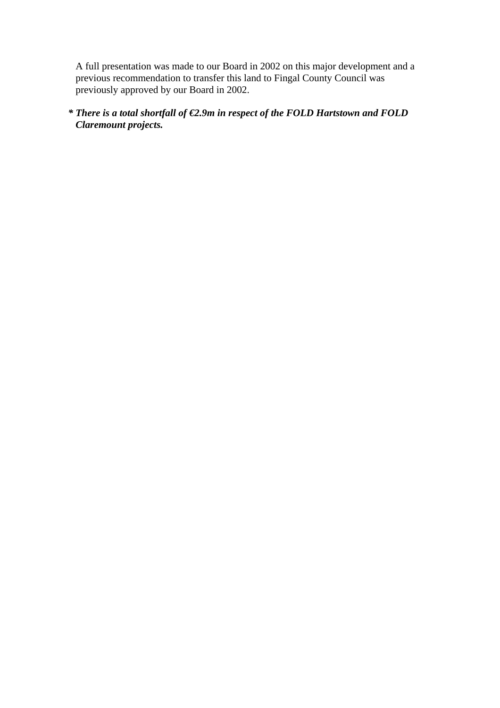A full presentation was made to our Board in 2002 on this major development and a previous recommendation to transfer this land to Fingal County Council was previously approved by our Board in 2002.

# *\* There is a total shortfall of €2.9m in respect of the FOLD Hartstown and FOLD Claremount projects.*